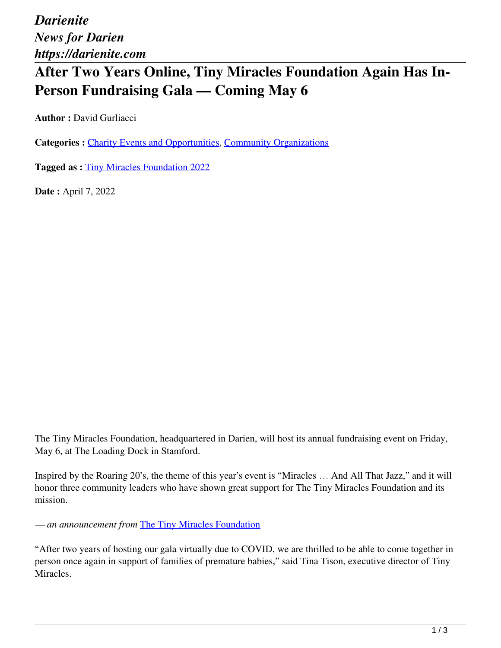*Darienite News for Darien https://darienite.com*

# **After Two Years Online, Tiny Miracles Foundation Again Has In-Person Fundraising Gala — Coming May 6**

**Author :** David Gurliacci

**Categories :** [Charity Events and Opportunities](https://darienite.com/category/charity-events-and-opportunities), Community Organizations

**Tagged as :** Tiny Miracles Foundation 2022

**Date :** April 7, 2022

The Tiny Miracles Foundation, headquartered in Darien, will host its annual fundraising event on Friday, May 6, at The Loading Dock in Stamford.

Inspired by the Roaring 20's, the theme of this year's event is "Miracles … And All That Jazz," and it will honor three community leaders who have shown great support for The Tiny Miracles Foundation and its mission.

*— an announcement from* The Tiny Miracles Foundation

"After two years of hosting our gala virtually due to COVID, we are thrilled to be able to come together in person once again in support of families of premature babies," said Tina Tison, executive director of Tiny Miracles.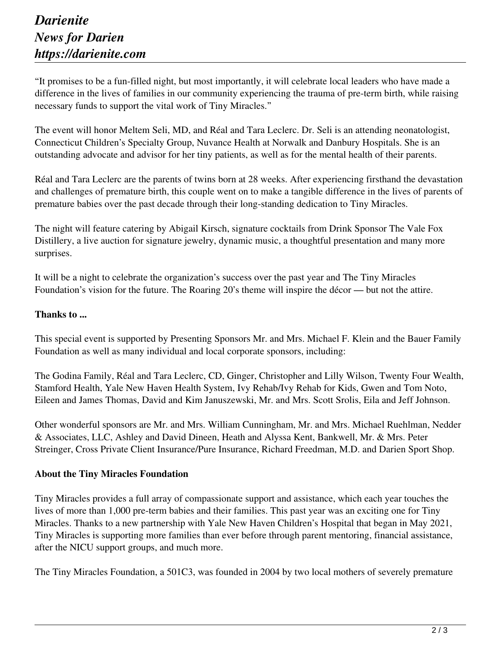### *Darienite News for Darien https://darienite.com*

"It promises to be a fun-filled night, but most importantly, it will celebrate local leaders who have made a difference in the lives of families in our community experiencing the trauma of pre-term birth, while raising necessary funds to support the vital work of Tiny Miracles."

The event will honor Meltem Seli, MD, and Réal and Tara Leclerc. Dr. Seli is an attending neonatologist, Connecticut Children's Specialty Group, Nuvance Health at Norwalk and Danbury Hospitals. She is an outstanding advocate and advisor for her tiny patients, as well as for the mental health of their parents.

Réal and Tara Leclerc are the parents of twins born at 28 weeks. After experiencing firsthand the devastation and challenges of premature birth, this couple went on to make a tangible difference in the lives of parents of premature babies over the past decade through their long-standing dedication to Tiny Miracles.

The night will feature catering by Abigail Kirsch, signature cocktails from Drink Sponsor The Vale Fox Distillery, a live auction for signature jewelry, dynamic music, a thoughtful presentation and many more surprises.

It will be a night to celebrate the organization's success over the past year and The Tiny Miracles Foundation's vision for the future. The Roaring 20's theme will inspire the décor — but not the attire.

#### **Thanks to ...**

This special event is supported by Presenting Sponsors Mr. and Mrs. Michael F. Klein and the Bauer Family Foundation as well as many individual and local corporate sponsors, including:

The Godina Family, Réal and Tara Leclerc, CD, Ginger, Christopher and Lilly Wilson, Twenty Four Wealth, Stamford Health, Yale New Haven Health System, Ivy Rehab/Ivy Rehab for Kids, Gwen and Tom Noto, Eileen and James Thomas, David and Kim Januszewski, Mr. and Mrs. Scott Srolis, Eila and Jeff Johnson.

Other wonderful sponsors are Mr. and Mrs. William Cunningham, Mr. and Mrs. Michael Ruehlman, Nedder & Associates, LLC, Ashley and David Dineen, Heath and Alyssa Kent, Bankwell, Mr. & Mrs. Peter Streinger, Cross Private Client Insurance/Pure Insurance, Richard Freedman, M.D. and Darien Sport Shop.

#### **About the Tiny Miracles Foundation**

Tiny Miracles provides a full array of compassionate support and assistance, which each year touches the lives of more than 1,000 pre-term babies and their families. This past year was an exciting one for Tiny Miracles. Thanks to a new partnership with Yale New Haven Children's Hospital that began in May 2021, Tiny Miracles is supporting more families than ever before through parent mentoring, financial assistance, after the NICU support groups, and much more.

The Tiny Miracles Foundation, a 501C3, was founded in 2004 by two local mothers of severely premature